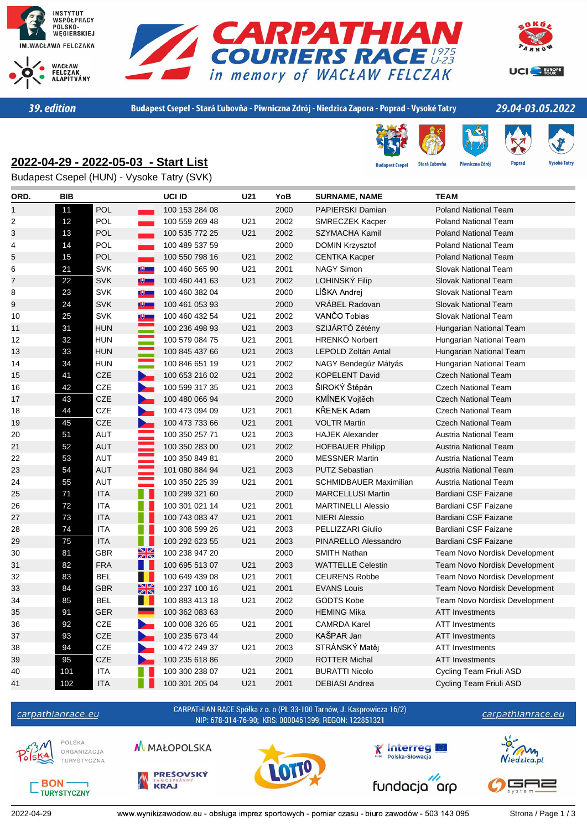





39. edition

Budapest Csepel - Stará Ľubovňa - Piwniczna Zdrój - Niedzica Zapora - Poprad - Vysoké Tatry

est Cser

**Stará Ľubovňa** 

Piwniczna Zdrój

## 29.04-03.05.2022

**Popra** 

## **2022-04-29 - 2022-05-03 - Start List**

Budapest Csepel (HUN) - Vysoke Tatry (SVK)

| ORD.           | BIB |                                        | UCI ID         | U21             | YoB  | <b>SURNAME, NAME</b>          | <b>TEAM</b>                          |
|----------------|-----|----------------------------------------|----------------|-----------------|------|-------------------------------|--------------------------------------|
| 1              | 11  | <b>POL</b>                             | 100 153 284 08 |                 | 2000 | <b>PAPIERSKI Damian</b>       | <b>Poland National Team</b>          |
| $\overline{2}$ | 12  | POL                                    | 100 559 269 48 | U <sub>21</sub> | 2002 | <b>SMRECZEK Kacper</b>        | <b>Poland National Team</b>          |
| 3              | 13  | POL                                    | 100 535 772 25 | U21             | 2002 | <b>SZYMACHA Kamil</b>         | <b>Poland National Team</b>          |
| 4              | 14  | POL                                    | 100 489 537 59 |                 | 2000 | <b>DOMIN Krzysztof</b>        | <b>Poland National Team</b>          |
| 5              | 15  | POL                                    | 100 550 798 16 | U21             | 2002 | <b>CENTKA Kacper</b>          | <b>Poland National Team</b>          |
| 6              | 21  | <b>SVK</b><br>$\mathbb{R}$             | 100 460 565 90 | U21             | 2001 | <b>NAGY Simon</b>             | <b>Slovak National Team</b>          |
| $\overline{7}$ | 22  | <b>SVK</b><br><b>IV</b>                | 100 460 441 63 | U21             | 2002 | LOHINSKÝ Filip                | <b>Slovak National Team</b>          |
| 8              | 23  | <b>SVK</b><br>$\mathbb{U}$             | 100 460 382 04 |                 | 2000 | LÍŠKA Andrej                  | <b>Slovak National Team</b>          |
| 9              | 24  | <b>SVK</b><br>[史]                      | 100 461 053 93 |                 | 2000 | VRÁBEL Radovan                | <b>Slovak National Team</b>          |
| 10             | 25  | <b>SVK</b><br>ए।                       | 100 460 432 54 | U21             | 2002 | VANČO Tobias                  | <b>Slovak National Team</b>          |
| 11             | 31  | <b>HUN</b>                             | 100 236 498 93 | U21             | 2003 | SZIJÁRTÓ Zétény               | Hungarian National Team              |
| 12             | 32  | <b>HUN</b><br>$\hat{\div}$             | 100 579 084 75 | U21             | 2001 | <b>HRENKÓ Norbert</b>         | Hungarian National Team              |
| 13             | 33  | <b>HUN</b>                             | 100 845 437 66 | U21             | 2003 | <b>LEPOLD Zoltán Antal</b>    | Hungarian National Team              |
| 14             | 34  | <b>HUN</b>                             | 100 846 651 19 | U21             | 2002 | NAGY Bendegúz Mátyás          | Hungarian National Team              |
| 15             | 41  | <b>CZE</b><br><b>Read</b>              | 100 653 216 02 | U21             | 2002 | <b>KOPELENT David</b>         | <b>Czech National Team</b>           |
| 16             | 42  | CZE                                    | 100 599 317 35 | U21             | 2003 | ŠIROKÝ Štěpán                 | <b>Czech National Team</b>           |
| 17             | 43  | CZE                                    | 100 480 066 94 |                 | 2000 | KMÍNEK Vojtěch                | <b>Czech National Team</b>           |
| 18             | 44  | <b>CZE</b><br>$\overline{\phantom{0}}$ | 100 473 094 09 | U21             | 2001 | KŘENEK Adam                   | <b>Czech National Team</b>           |
| 19             | 45  | <b>CZE</b><br>$\sum_{i=1}^{n}$         | 100 473 733 66 | U21             | 2001 | <b>VOLTR Martin</b>           | <b>Czech National Team</b>           |
| 20             | 51  | <b>AUT</b>                             | 100 350 257 71 | U21             | 2003 | <b>HAJEK Alexander</b>        | Austria National Team                |
| 21             | 52  | <b>AUT</b>                             | 100 350 283 00 | U21             | 2002 | <b>HOFBAUER Philipp</b>       | <b>Austria National Team</b>         |
| 22             | 53  | <b>AUT</b>                             | 100 350 849 81 |                 | 2000 | <b>MESSNER Martin</b>         | Austria National Team                |
| 23             | 54  | <b>AUT</b>                             | 101 080 884 94 | U21             | 2003 | <b>PUTZ Sebastian</b>         | <b>Austria National Team</b>         |
| 24             | 55  | <b>AUT</b>                             | 100 350 225 39 | U21             | 2001 | <b>SCHMIDBAUER Maximilian</b> | <b>Austria National Team</b>         |
| 25             | 71  | <b>ITA</b>                             | 100 299 321 60 |                 | 2000 | <b>MARCELLUSI Martin</b>      | Bardiani CSF Faizane                 |
| 26             | 72  | <b>ITA</b>                             | 100 301 021 14 | U21             | 2001 | <b>MARTINELLI Alessio</b>     | Bardiani CSF Faizane                 |
| 27             | 73  | <b>ITA</b>                             | 100 743 083 47 | U21             | 2001 | <b>NIERI Alessio</b>          | Bardiani CSF Faizane                 |
| 28             | 74  | <b>ITA</b>                             | 100 308 599 26 | U21             | 2003 | PELLIZZARI Giulio             | Bardiani CSF Faizane                 |
| 29             | 75  | H.<br><b>ITA</b>                       | 100 292 623 55 | U21             | 2003 | PINARELLO Alessandro          | Bardiani CSF Faizane                 |
| 30             | 81  | $\frac{N}{2}$<br>GBR                   | 100 238 947 20 |                 | 2000 | <b>SMITH Nathan</b>           | Team Novo Nordisk Development        |
| 31             | 82  | <b>FRA</b>                             | 100 695 513 07 | U21             | 2003 | <b>WATTELLE Celestin</b>      | <b>Team Novo Nordisk Development</b> |
| 32             | 83  | $\blacksquare$<br><b>BEL</b>           | 100 649 439 08 | U21             | 2001 | <b>CEURENS Robbe</b>          | Team Novo Nordisk Development        |
| 33             | 84  | $\frac{1}{2}$<br><b>GBR</b>            | 100 237 100 16 | U21             | 2001 | <b>EVANS Louis</b>            | <b>Team Novo Nordisk Development</b> |
| 34             | 85  | <b>BEL</b>                             | 100 883 413 18 | U21             | 2002 | <b>GODTS Kobe</b>             | Team Novo Nordisk Development        |
| 35             | 91  | <b>GER</b>                             | 100 362 083 63 |                 | 2000 | <b>HEMING Mika</b>            | <b>ATT Investments</b>               |
| 36             | 92  | CZE                                    | 100 008 326 65 | U21             | 2001 | <b>CAMRDA Karel</b>           | <b>ATT Investments</b>               |
| 37             | 93  | CZE                                    | 100 235 673 44 |                 | 2000 | KAŠPAR Jan                    | <b>ATT Investments</b>               |
| 38             | 94  | CZE                                    | 100 472 249 37 | U21             | 2003 | STRÁNSKÝ Matěj                | <b>ATT Investments</b>               |
| 39             | 95  | <b>CZE</b>                             | 100 235 618 86 |                 | 2000 | <b>ROTTER Michal</b>          | <b>ATT Investments</b>               |
| 40             | 101 | ITA                                    | 100 300 238 07 | U21             | 2001 | <b>BURATTI Nicolo</b>         | Cycling Team Friuli ASD              |
| 41             | 102 | Ш<br><b>ITA</b>                        | 100 301 205 04 | U21             | 2001 | <b>DEBIASI Andrea</b>         | Cycling Team Friuli ASD              |

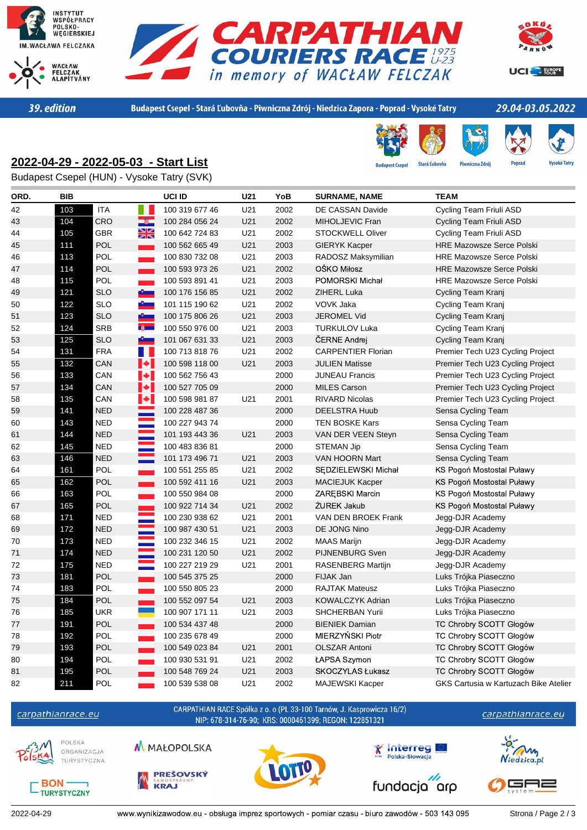





39. edition

Budapest Csepel - Stará Ľubovňa - Piwniczna Zdrój - Niedzica Zapora - Poprad - Vysoké Tatry

# 29.04-03.05.2022

## **2022-04-29 - 2022-05-03 - Start List**



est Cser **Stará Ľubovňa**  Piwniczna Zdrój **Popra** 

Budapest Csepel (HUN) - Vysoke Tatry (SVK)

| ORD. | <b>BIB</b> |                                         | UCI ID         | U21 | YoB  | <b>SURNAME, NAME</b>      | <b>TEAM</b>                           |
|------|------------|-----------------------------------------|----------------|-----|------|---------------------------|---------------------------------------|
| 42   | 103        | <b>ITA</b>                              | 100 319 677 46 | U21 | 2002 | DE CASSAN Davide          | Cycling Team Friuli ASD               |
| 43   | 104        | 一滴一<br>CRO                              | 100 284 056 24 | U21 | 2002 | MIHOLJEVIC Fran           | Cycling Team Friuli ASD               |
| 44   | 105        | $\frac{N}{2}$<br>GBR                    | 100 642 724 83 | U21 | 2002 | <b>STOCKWELL Oliver</b>   | Cycling Team Friuli ASD               |
| 45   | 111        | POL                                     | 100 562 665 49 | U21 | 2003 | <b>GIERYK Kacper</b>      | <b>HRE Mazowsze Serce Polski</b>      |
| 46   | 113        | POL                                     | 100 830 732 08 | U21 | 2003 | RADOSZ Maksymilian        | <b>HRE Mazowsze Serce Polski</b>      |
| 47   | 114        | <b>POL</b>                              | 100 593 973 26 | U21 | 2002 | OŚKO Miłosz               | <b>HRE Mazowsze Serce Polski</b>      |
| 48   | 115        | POL<br>۰                                | 100 593 891 41 | U21 | 2003 | POMORSKI Michał           | <b>HRE Mazowsze Serce Polski</b>      |
| 49   | 121        | <b>SLO</b>                              | 100 176 156 85 | U21 | 2002 | ZIHERL Luka               | Cycling Team Kranj                    |
| 50   | 122        | <b>SLO</b><br>$\mathbf{v}_{\text{max}}$ | 101 115 190 62 | U21 | 2002 | VOVK Jaka                 | Cycling Team Kranj                    |
| 51   | 123        | <b>SLO</b><br>$\mathbf{E}$              | 100 175 806 26 | U21 | 2003 | <b>JEROMEL Vid</b>        | Cycling Team Kranj                    |
| 52   | 124        | <b>SRB</b><br>第一                        | 100 550 976 00 | U21 | 2003 | <b>TURKULOV Luka</b>      | Cycling Team Kranj                    |
| 53   | 125        | سيؤر<br><b>SLO</b>                      | 101 067 631 33 | U21 | 2003 | ČERNE Andrej              | Cycling Team Kranj                    |
| 54   | 131        | <b>FRA</b><br>H.                        | 100 713 818 76 | U21 | 2002 | <b>CARPENTIER Florian</b> | Premier Tech U23 Cycling Project      |
| 55   | 132        | $\blacktriangleright$<br>CAN            | 100 598 118 00 | U21 | 2003 | <b>JULIEN Matisse</b>     | Premier Tech U23 Cycling Project      |
| 56   | 133        | $\left\  \cdot \right\ $<br>CAN         | 100 562 756 43 |     | 2000 | <b>JUNEAU Francis</b>     | Premier Tech U23 Cycling Project      |
| 57   | 134        | $\blacktriangleright$<br>CAN            | 100 527 705 09 |     | 2000 | <b>MILES Carson</b>       | Premier Tech U23 Cycling Project      |
| 58   | 135        | $\left\  \cdot \right\ $<br>CAN         | 100 598 981 87 | U21 | 2001 | <b>RIVARD Nicolas</b>     | Premier Tech U23 Cycling Project      |
| 59   | 141        | <b>NED</b>                              | 100 228 487 36 |     | 2000 | <b>DEELSTRA Huub</b>      | Sensa Cycling Team                    |
| 60   | 143        | <b>NED</b>                              | 100 227 943 74 |     | 2000 | <b>TEN BOSKE Kars</b>     | Sensa Cycling Team                    |
| 61   | 144        | Ξ<br><b>NED</b>                         | 101 193 443 36 | U21 | 2003 | VAN DER VEEN Steyn        | Sensa Cycling Team                    |
| 62   | 145        | Ξ<br><b>NED</b>                         | 100 483 836 81 |     | 2000 | <b>STEMAN Jip</b>         | Sensa Cycling Team                    |
| 63   | 146        | <b>NED</b>                              | 101 173 496 71 | U21 | 2003 | VAN HOORN Mart            | Sensa Cycling Team                    |
| 64   | 161        | POL                                     | 100 551 255 85 | U21 | 2002 | SEDZIELEWSKI Michał       | KS Pogoń Mostostal Puławy             |
| 65   | 162        | POL                                     | 100 592 411 16 | U21 | 2003 | <b>MACIEJUK Kacper</b>    | KS Pogoń Mostostal Puławy             |
| 66   | 163        | POL                                     | 100 550 984 08 |     | 2000 | <b>ZAREBSKI Marcin</b>    | KS Pogoń Mostostal Puławy             |
| 67   | 165        | POL<br><u>e</u>                         | 100 922 714 34 | U21 | 2002 | ŽUREK Jakub               | KS Pogoń Mostostal Puławy             |
| 68   | 171        | e e<br>NED                              | 100 230 938 62 | U21 | 2001 | VAN DEN BROEK Frank       | Jegg-DJR Academy                      |
| 69   | 172        | <b>NED</b>                              | 100 987 430 51 | U21 | 2003 | DE JONG Nino              | Jegg-DJR Academy                      |
| 70   | 173        | <b>NED</b>                              | 100 232 346 15 | U21 | 2002 | <b>MAAS Marijn</b>        | Jegg-DJR Academy                      |
| 71   | 174        | <b>NED</b>                              | 100 231 120 50 | U21 | 2002 | <b>PIJNENBURG Sven</b>    | Jegg-DJR Academy                      |
| 72   | 175        | <b>NED</b>                              | 100 227 219 29 | U21 | 2001 | RASENBERG Martijn         | Jegg-DJR Academy                      |
| 73   | 181        | POL<br>m.                               | 100 545 375 25 |     | 2000 | FIJAK Jan                 | Luks Trójka Piaseczno                 |
| 74   | 183        | POL                                     | 100 550 805 23 |     | 2000 | <b>RAJTAK Mateusz</b>     | Luks Trójka Piaseczno                 |
| 75   | 184        | POL<br><b>College</b>                   | 100 552 097 54 | U21 | 2003 | KOWALCZYK Adrian          | Luks Trójka Piaseczno                 |
| 76   | 185        | <b>UKR</b>                              | 100 907 171 11 | U21 | 2003 | <b>SHCHERBAN Yurii</b>    | Luks Trójka Piaseczno                 |
| 77   | 191        | POL<br>m.                               | 100 534 437 48 |     | 2000 | <b>BIENIEK Damian</b>     | TC Chrobry SCOTT Głogów               |
| 78   | 192        | POL                                     | 100 235 678 49 |     | 2000 | MIERZYŃSKI Piotr          | TC Chrobry SCOTT Głogów               |
| 79   | 193        | POL                                     | 100 549 023 84 | U21 | 2001 | <b>OLSZAR Antoni</b>      | TC Chrobry SCOTT Głogów               |
| 80   | 194        | POL                                     | 100 930 531 91 | U21 | 2002 | ŁAPSA Szymon              | TC Chrobry SCOTT Głogów               |
| 81   | 195        | <b>POL</b>                              | 100 548 769 24 | U21 | 2003 | SKOCZYLAS Łukasz          | TC Chrobry SCOTT Głogów               |
| 82   | 211        | POL                                     | 100 539 538 08 | U21 | 2002 | <b>MAJEWSKI Kacper</b>    | GKS Cartusia w Kartuzach Bike Atelier |



**BON-**

TURYSTYCZNY

CARPATHIAN RACE Spółka z o. o (PL 33-100 Tarnów, J. Kasprowicza 16/2) NIP: 678-314-76-90; KRS: 0000461399; REGON: 122851321



POLSKA ORGANIZACJA TURYSTYCZNA



M MAŁOPOLSKA







**Y** Interreg

Polska-Słowacia

fundacja arp

GAZ